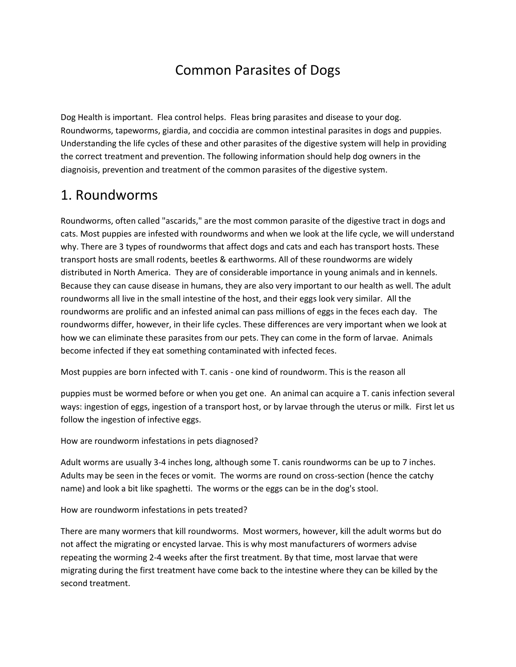# Common Parasites of Dogs

Dog Health is important. Flea control helps. Fleas bring parasites and disease to your dog. Roundworms, tapeworms, giardia, and coccidia are common intestinal parasites in dogs and puppies. Understanding the life cycles of these and other parasites of the digestive system will help in providing the correct treatment and prevention. The following information should help dog owners in the diagnoisis, prevention and treatment of the common parasites of the digestive system.

## 1. Roundworms

Roundworms, often called "ascarids," are the most common parasite of the digestive tract in dogs and cats. Most puppies are infested with roundworms and when we look at the life cycle, we will understand why. There are 3 types of roundworms that affect dogs and cats and each has transport hosts. These transport hosts are small rodents, beetles & earthworms. All of these roundworms are widely distributed in North America. They are of considerable importance in young animals and in kennels. Because they can cause disease in humans, they are also very important to our health as well. The adult roundworms all live in the small intestine of the host, and their eggs look very similar. All the roundworms are prolific and an infested animal can pass millions of eggs in the feces each day. The roundworms differ, however, in their life cycles. These differences are very important when we look at how we can eliminate these parasites from our pets. They can come in the form of larvae. Animals become infected if they eat something contaminated with infected feces.

Most puppies are born infected with T. canis - one kind of roundworm. This is the reason all

puppies must be wormed before or when you get one. An animal can acquire a T. canis infection several ways: ingestion of eggs, ingestion of a transport host, or by larvae through the uterus or milk. First let us follow the ingestion of infective eggs.

How are roundworm infestations in pets diagnosed?

Adult worms are usually 3-4 inches long, although some T. canis roundworms can be up to 7 inches. Adults may be seen in the feces or vomit. The worms are round on cross-section (hence the catchy name) and look a bit like spaghetti. The worms or the eggs can be in the dog's stool.

How are roundworm infestations in pets treated?

There are many wormers that kill roundworms. Most wormers, however, kill the adult worms but do not affect the migrating or encysted larvae. This is why most manufacturers of wormers advise repeating the worming 2-4 weeks after the first treatment. By that time, most larvae that were migrating during the first treatment have come back to the intestine where they can be killed by the second treatment.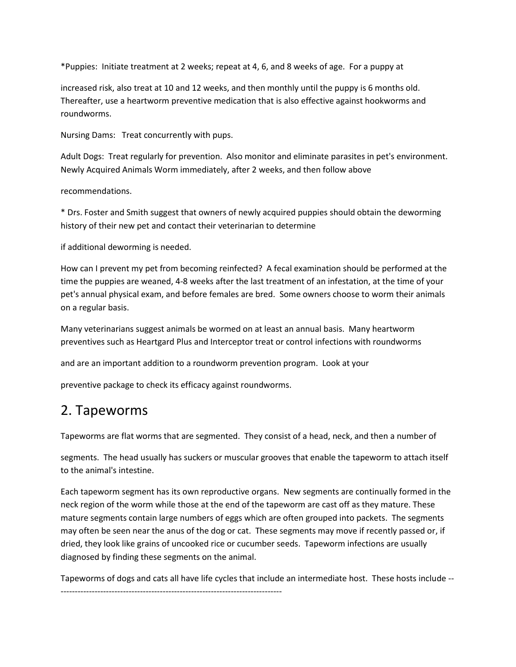\*Puppies: Initiate treatment at 2 weeks; repeat at 4, 6, and 8 weeks of age. For a puppy at

increased risk, also treat at 10 and 12 weeks, and then monthly until the puppy is 6 months old. Thereafter, use a heartworm preventive medication that is also effective against hookworms and roundworms.

Nursing Dams: Treat concurrently with pups.

Adult Dogs: Treat regularly for prevention. Also monitor and eliminate parasites in pet's environment. Newly Acquired Animals Worm immediately, after 2 weeks, and then follow above

recommendations.

\* Drs. Foster and Smith suggest that owners of newly acquired puppies should obtain the deworming history of their new pet and contact their veterinarian to determine

if additional deworming is needed.

How can I prevent my pet from becoming reinfected? A fecal examination should be performed at the time the puppies are weaned, 4-8 weeks after the last treatment of an infestation, at the time of your pet's annual physical exam, and before females are bred. Some owners choose to worm their animals on a regular basis.

Many veterinarians suggest animals be wormed on at least an annual basis. Many heartworm preventives such as Heartgard Plus and Interceptor treat or control infections with roundworms

and are an important addition to a roundworm prevention program. Look at your

preventive package to check its efficacy against roundworms.

## 2. Tapeworms

Tapeworms are flat worms that are segmented. They consist of a head, neck, and then a number of

segments. The head usually has suckers or muscular grooves that enable the tapeworm to attach itself to the animal's intestine.

Each tapeworm segment has its own reproductive organs. New segments are continually formed in the neck region of the worm while those at the end of the tapeworm are cast off as they mature. These mature segments contain large numbers of eggs which are often grouped into packets. The segments may often be seen near the anus of the dog or cat. These segments may move if recently passed or, if dried, they look like grains of uncooked rice or cucumber seeds. Tapeworm infections are usually diagnosed by finding these segments on the animal.

Tapeworms of dogs and cats all have life cycles that include an intermediate host. These hosts include -- ------------------------------------------------------------------------------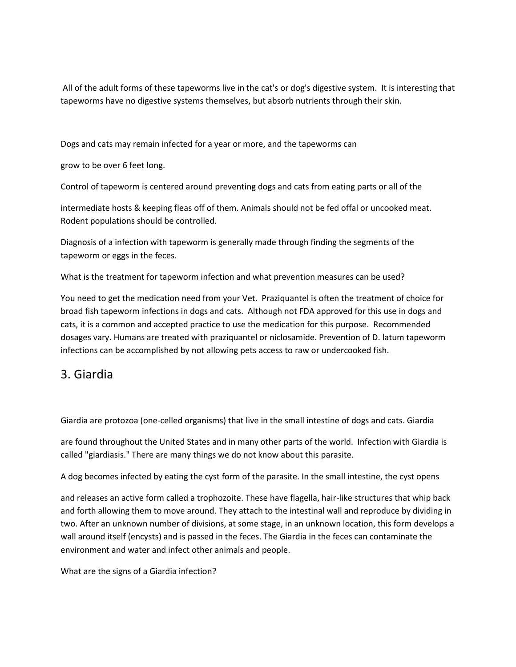All of the adult forms of these tapeworms live in the cat's or dog's digestive system. It is interesting that tapeworms have no digestive systems themselves, but absorb nutrients through their skin.

Dogs and cats may remain infected for a year or more, and the tapeworms can

grow to be over 6 feet long.

Control of tapeworm is centered around preventing dogs and cats from eating parts or all of the

intermediate hosts & keeping fleas off of them. Animals should not be fed offal or uncooked meat. Rodent populations should be controlled.

Diagnosis of a infection with tapeworm is generally made through finding the segments of the tapeworm or eggs in the feces.

What is the treatment for tapeworm infection and what prevention measures can be used?

You need to get the medication need from your Vet. Praziquantel is often the treatment of choice for broad fish tapeworm infections in dogs and cats. Although not FDA approved for this use in dogs and cats, it is a common and accepted practice to use the medication for this purpose. Recommended dosages vary. Humans are treated with praziquantel or niclosamide. Prevention of D. latum tapeworm infections can be accomplished by not allowing pets access to raw or undercooked fish.

### 3. Giardia

Giardia are protozoa (one-celled organisms) that live in the small intestine of dogs and cats. Giardia

are found throughout the United States and in many other parts of the world. Infection with Giardia is called "giardiasis." There are many things we do not know about this parasite.

A dog becomes infected by eating the cyst form of the parasite. In the small intestine, the cyst opens

and releases an active form called a trophozoite. These have flagella, hair-like structures that whip back and forth allowing them to move around. They attach to the intestinal wall and reproduce by dividing in two. After an unknown number of divisions, at some stage, in an unknown location, this form develops a wall around itself (encysts) and is passed in the feces. The Giardia in the feces can contaminate the environment and water and infect other animals and people.

What are the signs of a Giardia infection?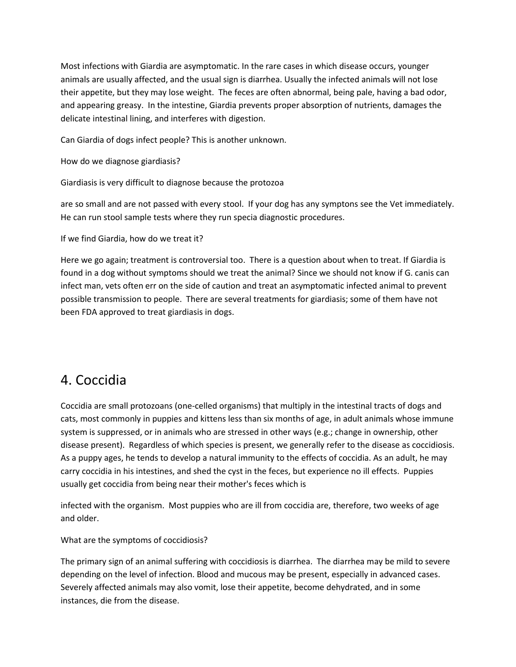Most infections with Giardia are asymptomatic. In the rare cases in which disease occurs, younger animals are usually affected, and the usual sign is diarrhea. Usually the infected animals will not lose their appetite, but they may lose weight. The feces are often abnormal, being pale, having a bad odor, and appearing greasy. In the intestine, Giardia prevents proper absorption of nutrients, damages the delicate intestinal lining, and interferes with digestion.

Can Giardia of dogs infect people? This is another unknown.

How do we diagnose giardiasis?

Giardiasis is very difficult to diagnose because the protozoa

are so small and are not passed with every stool. If your dog has any symptons see the Vet immediately. He can run stool sample tests where they run specia diagnostic procedures.

If we find Giardia, how do we treat it?

Here we go again; treatment is controversial too. There is a question about when to treat. If Giardia is found in a dog without symptoms should we treat the animal? Since we should not know if G. canis can infect man, vets often err on the side of caution and treat an asymptomatic infected animal to prevent possible transmission to people. There are several treatments for giardiasis; some of them have not been FDA approved to treat giardiasis in dogs.

## 4. Coccidia

Coccidia are small protozoans (one-celled organisms) that multiply in the intestinal tracts of dogs and cats, most commonly in puppies and kittens less than six months of age, in adult animals whose immune system is suppressed, or in animals who are stressed in other ways (e.g.; change in ownership, other disease present). Regardless of which species is present, we generally refer to the disease as coccidiosis. As a puppy ages, he tends to develop a natural immunity to the effects of coccidia. As an adult, he may carry coccidia in his intestines, and shed the cyst in the feces, but experience no ill effects. Puppies usually get coccidia from being near their mother's feces which is

infected with the organism. Most puppies who are ill from coccidia are, therefore, two weeks of age and older.

What are the symptoms of coccidiosis?

The primary sign of an animal suffering with coccidiosis is diarrhea. The diarrhea may be mild to severe depending on the level of infection. Blood and mucous may be present, especially in advanced cases. Severely affected animals may also vomit, lose their appetite, become dehydrated, and in some instances, die from the disease.